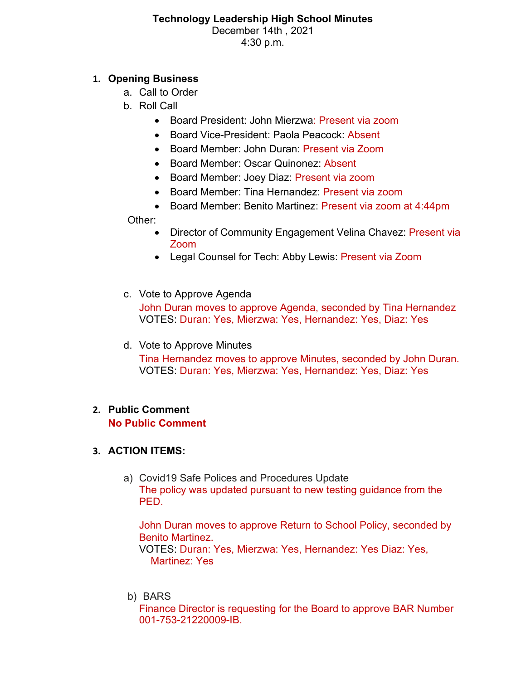#### **Technology Leadership High School Minutes** December 14th , 2021 4:30 p.m.

### **1. Opening Business**

- a. Call to Order
- b. Roll Call
	- Board President: John Mierzwa: Present via zoom
	- Board Vice-President: Paola Peacock: Absent
	- Board Member: John Duran: Present via Zoom
	- Board Member: Oscar Quinonez: Absent
	- Board Member: Joey Diaz: Present via zoom
	- Board Member: Tina Hernandez: Present via zoom
	- Board Member: Benito Martinez: Present via zoom at 4:44pm

Other:

- Director of Community Engagement Velina Chavez: Present via Zoom
- Legal Counsel for Tech: Abby Lewis: Present via Zoom
- c. Vote to Approve Agenda

John Duran moves to approve Agenda, seconded by Tina Hernandez VOTES: Duran: Yes, Mierzwa: Yes, Hernandez: Yes, Diaz: Yes

d. Vote to Approve Minutes

Tina Hernandez moves to approve Minutes, seconded by John Duran. VOTES: Duran: Yes, Mierzwa: Yes, Hernandez: Yes, Diaz: Yes

### **2. Public Comment No Public Comment**

# **3. ACTION ITEMS:**

a) Covid19 Safe Polices and Procedures Update The policy was updated pursuant to new testing guidance from the PED.

John Duran moves to approve Return to School Policy, seconded by Benito Martinez.

VOTES: Duran: Yes, Mierzwa: Yes, Hernandez: Yes Diaz: Yes, Martinez: Yes

b) BARS

Finance Director is requesting for the Board to approve BAR Number 001-753-21220009-IB.